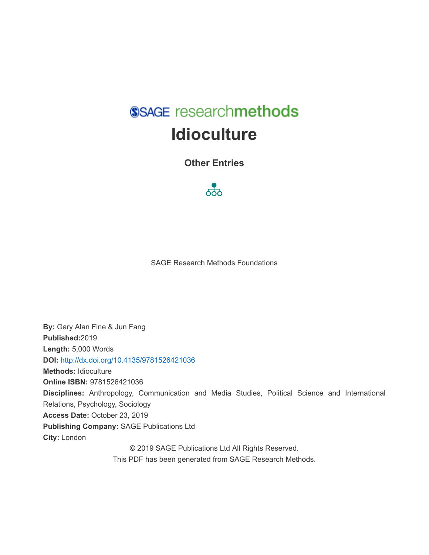SSAGE researchmethods **Idioculture** 

**Other Entries** 



SAGE Research Methods Foundations

**By:** Gary Alan Fine & Jun Fang **Published:**2019 **Length:** 5,000 Words **DOI:** <http://dx.doi.org/10.4135/9781526421036> **Methods:** Idioculture **Online ISBN:** 9781526421036 **Disciplines:** Anthropology, Communication and Media Studies, Political Science and International Relations, Psychology, Sociology **Access Date:** October 23, 2019 **Publishing Company:** SAGE Publications Ltd **City:** London © 2019 SAGE Publications Ltd All Rights Reserved. This PDF has been generated from SAGE Research Methods.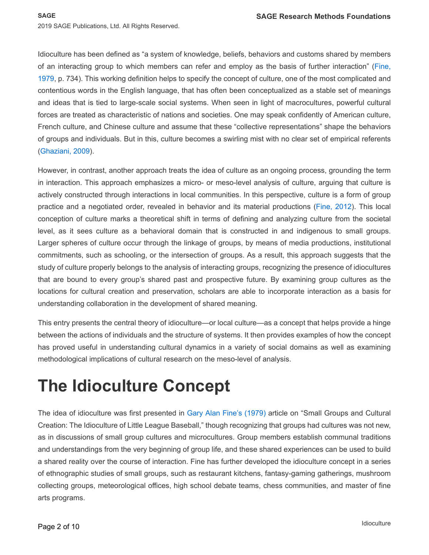Idioculture has been defined as "a system of knowledge, beliefs, behaviors and customs shared by members of an interacting group to which members can refer and employ as the basis of further interaction" ([Fine,](#page-7-0)  [1979](#page-7-0), p. 734). This working definition helps to specify the concept of culture, one of the most complicated and contentious words in the English language, that has often been conceptualized as a stable set of meanings and ideas that is tied to large-scale social systems. When seen in light of macrocultures, powerful cultural forces are treated as characteristic of nations and societies. One may speak confidently of American culture, French culture, and Chinese culture and assume that these "collective representations" shape the behaviors of groups and individuals. But in this, culture becomes a swirling mist with no clear set of empirical referents ([Ghaziani, 2009](#page-8-0)).

However, in contrast, another approach treats the idea of culture as an ongoing process, grounding the term in interaction. This approach emphasizes a micro- or meso-level analysis of culture, arguing that culture is actively constructed through interactions in local communities. In this perspective, culture is a form of group practice and a negotiated order, revealed in behavior and its material productions ([Fine, 2012](#page-7-1)). This local conception of culture marks a theoretical shift in terms of defining and analyzing culture from the societal level, as it sees culture as a behavioral domain that is constructed in and indigenous to small groups. Larger spheres of culture occur through the linkage of groups, by means of media productions, institutional commitments, such as schooling, or the intersection of groups. As a result, this approach suggests that the study of culture properly belongs to the analysis of interacting groups, recognizing the presence of idiocultures that are bound to every group's shared past and prospective future. By examining group cultures as the locations for cultural creation and preservation, scholars are able to incorporate interaction as a basis for understanding collaboration in the development of shared meaning.

This entry presents the central theory of idioculture—or local culture—as a concept that helps provide a hinge between the actions of individuals and the structure of systems. It then provides examples of how the concept has proved useful in understanding cultural dynamics in a variety of social domains as well as examining methodological implications of cultural research on the meso-level of analysis.

# **The Idioculture Concept**

The idea of idioculture was first presented in [Gary Alan Fine's \(1979\)](#page-7-0) article on "Small Groups and Cultural Creation: The Idioculture of Little League Baseball," though recognizing that groups had cultures was not new, as in discussions of small group cultures and microcultures. Group members establish communal traditions and understandings from the very beginning of group life, and these shared experiences can be used to build a shared reality over the course of interaction. Fine has further developed the idioculture concept in a series of ethnographic studies of small groups, such as restaurant kitchens, fantasy-gaming gatherings, mushroom collecting groups, meteorological offices, high school debate teams, chess communities, and master of fine arts programs.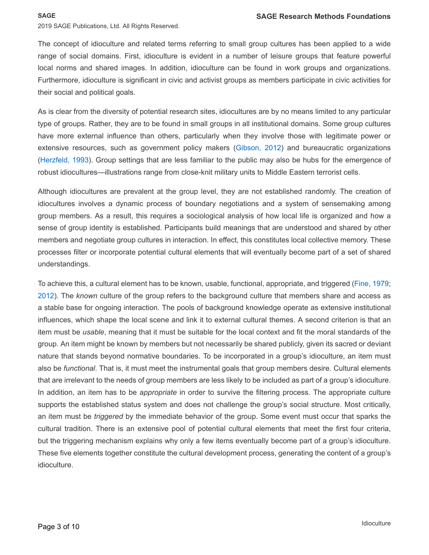#### **SAGE**

2019 SAGE Publications, Ltd. All Rights Reserved.

The concept of idioculture and related terms referring to small group cultures has been applied to a wide range of social domains. First, idioculture is evident in a number of leisure groups that feature powerful local norms and shared images. In addition, idioculture can be found in work groups and organizations. Furthermore, idioculture is significant in civic and activist groups as members participate in civic activities for their social and political goals.

As is clear from the diversity of potential research sites, idiocultures are by no means limited to any particular type of groups. Rather, they are to be found in small groups in all institutional domains. Some group cultures have more external influence than others, particularly when they involve those with legitimate power or extensive resources, such as government policy makers ([Gibson, 2012](#page-8-1)) and bureaucratic organizations ([Herzfeld, 1993](#page-8-2)). Group settings that are less familiar to the public may also be hubs for the emergence of robust idiocultures—illustrations range from close-knit military units to Middle Eastern terrorist cells.

Although idiocultures are prevalent at the group level, they are not established randomly. The creation of idiocultures involves a dynamic process of boundary negotiations and a system of sensemaking among group members. As a result, this requires a sociological analysis of how local life is organized and how a sense of group identity is established. Participants build meanings that are understood and shared by other members and negotiate group cultures in interaction. In effect, this constitutes local collective memory. These processes filter or incorporate potential cultural elements that will eventually become part of a set of shared understandings.

To achieve this, a cultural element has to be known, usable, functional, appropriate, and triggered ([Fine, 1979](#page-7-0); [2012](#page-7-1)). The *known* culture of the group refers to the background culture that members share and access as a stable base for ongoing interaction. The pools of background knowledge operate as extensive institutional influences, which shape the local scene and link it to external cultural themes. A second criterion is that an item must be *usable*, meaning that it must be suitable for the local context and fit the moral standards of the group. An item might be known by members but not necessarily be shared publicly, given its sacred or deviant nature that stands beyond normative boundaries. To be incorporated in a group's idioculture, an item must also be *functional*. That is, it must meet the instrumental goals that group members desire. Cultural elements that are irrelevant to the needs of group members are less likely to be included as part of a group's idioculture. In addition, an item has to be *appropriate* in order to survive the filtering process. The appropriate culture supports the established status system and does not challenge the group's social structure. Most critically, an item must be *triggered* by the immediate behavior of the group. Some event must occur that sparks the cultural tradition. There is an extensive pool of potential cultural elements that meet the first four criteria, but the triggering mechanism explains why only a few items eventually become part of a group's idioculture. These five elements together constitute the cultural development process, generating the content of a group's idioculture.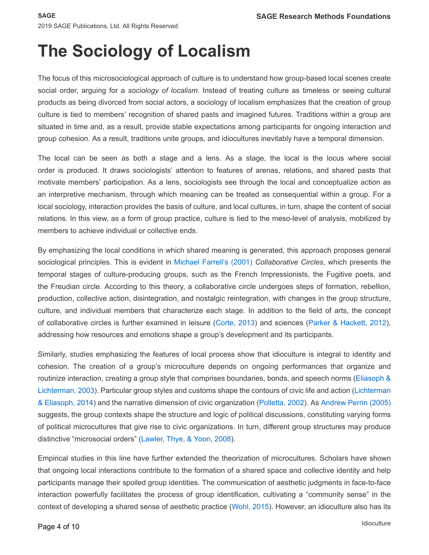# **The Sociology of Localism**

The focus of this microsociological approach of culture is to understand how group-based local scenes create social order, arguing for a *sociology of localism*. Instead of treating culture as timeless or seeing cultural products as being divorced from social actors, a sociology of localism emphasizes that the creation of group culture is tied to members' recognition of shared pasts and imagined futures. Traditions within a group are situated in time and, as a result, provide stable expectations among participants for ongoing interaction and group cohesion. As a result, traditions unite groups, and idiocultures inevitably have a temporal dimension.

The local can be seen as both a stage and a lens. As a stage, the local is the locus where social order is produced. It draws sociologists' attention to features of arenas, relations, and shared pasts that motivate members' participation. As a lens, sociologists see through the local and conceptualize action as an interpretive mechanism, through which meaning can be treated as consequential within a group. For a local sociology, interaction provides the basis of culture, and local cultures, in turn, shape the content of social relations. In this view, as a form of group practice, culture is tied to the meso-level of analysis, mobilized by members to achieve individual or collective ends.

By emphasizing the local conditions in which shared meaning is generated, this approach proposes general sociological principles. This is evident in [Michael Farrell's \(2001\)](#page-7-2) *Collaborative Circles*, which presents the temporal stages of culture-producing groups, such as the French Impressionists, the Fugitive poets, and the Freudian circle. According to this theory, a collaborative circle undergoes steps of formation, rebellion, production, collective action, disintegration, and nostalgic reintegration, with changes in the group structure, culture, and individual members that characterize each stage. In addition to the field of arts, the concept of collaborative circles is further examined in leisure ([Corte, 2013](#page-7-3)) and sciences ([Parker & Hackett, 2012](#page-8-3)), addressing how resources and emotions shape a group's development and its participants.

Similarly, studies emphasizing the features of local process show that idioculture is integral to identity and cohesion. The creation of a group's microculture depends on ongoing performances that organize and routinize interaction, creating a group style that comprises boundaries, bonds, and speech norms ([Eliasoph &](#page-6-0)  [Lichterman, 2003](#page-6-0)). Particular group styles and customs shape the contours of civic life and action ([Lichterman](#page-8-4)  [& Eliasoph, 2014](#page-8-4)) and the narrative dimension of civic organization ([Polletta, 2002](#page-7-4)). As [Andrew Perrin \(2005\)](#page-8-5)  suggests, the group contexts shape the structure and logic of political discussions, constituting varying forms of political microcultures that give rise to civic organizations. In turn, different group structures may produce distinctive "microsocial orders" ([Lawler, Thye, & Yoon, 2008](#page-8-6)).

Empirical studies in this line have further extended the theorization of microcultures. Scholars have shown that ongoing local interactions contribute to the formation of a shared space and collective identity and help participants manage their spoiled group identities. The communication of aesthetic judgments in face-to-face interaction powerfully facilitates the process of group identification, cultivating a "community sense" in the context of developing a shared sense of aesthetic practice ([Wohl, 2015](#page-9-0)). However, an idioculture also has its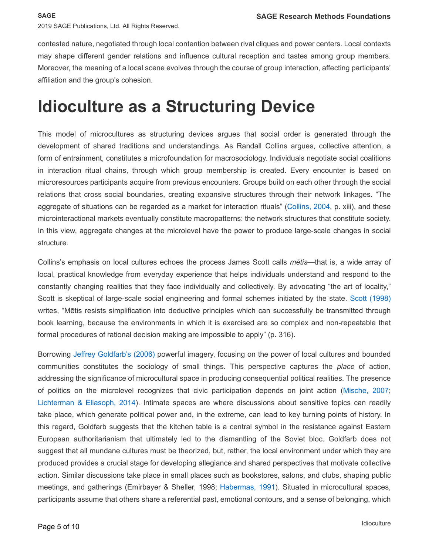contested nature, negotiated through local contention between rival cliques and power centers. Local contexts may shape different gender relations and influence cultural reception and tastes among group members. Moreover, the meaning of a local scene evolves through the course of group interaction, affecting participants' affiliation and the group's cohesion.

### **Idioculture as a Structuring Device**

This model of microcultures as structuring devices argues that social order is generated through the development of shared traditions and understandings. As Randall Collins argues, collective attention, a form of entrainment, constitutes a microfoundation for macrosociology. Individuals negotiate social coalitions in interaction ritual chains, through which group membership is created. Every encounter is based on microresources participants acquire from previous encounters. Groups build on each other through the social relations that cross social boundaries, creating expansive structures through their network linkages. "The aggregate of situations can be regarded as a market for interaction rituals" ([Collins, 2004](#page-7-5), p. xiii), and these microinteractional markets eventually constitute macropatterns: the network structures that constitute society. In this view, aggregate changes at the microlevel have the power to produce large-scale changes in social structure.

Collins's emphasis on local cultures echoes the process James Scott calls *mētis*—that is, a wide array of local, practical knowledge from everyday experience that helps individuals understand and respond to the constantly changing realities that they face individually and collectively. By advocating "the art of locality," Scott is skeptical of large-scale social engineering and formal schemes initiated by the state. [Scott \(1998\)](#page-9-1)  writes, "Mētis resists simplification into deductive principles which can successfully be transmitted through book learning, because the environments in which it is exercised are so complex and non-repeatable that formal procedures of rational decision making are impossible to apply" (p. 316).

Borrowing [Jeffrey Goldfarb's \(2006\)](#page-7-6) powerful imagery, focusing on the power of local cultures and bounded communities constitutes the sociology of small things. This perspective captures the *place* of action, addressing the significance of microcultural space in producing consequential political realities. The presence of politics on the microlevel recognizes that civic participation depends on joint action ([Mische, 2007](#page-8-7); [Lichterman & Eliasoph, 2014](#page-8-4)). Intimate spaces are where discussions about sensitive topics can readily take place, which generate political power and, in the extreme, can lead to key turning points of history. In this regard, Goldfarb suggests that the kitchen table is a central symbol in the resistance against Eastern European authoritarianism that ultimately led to the dismantling of the Soviet bloc. Goldfarb does not suggest that all mundane cultures must be theorized, but, rather, the local environment under which they are produced provides a crucial stage for developing allegiance and shared perspectives that motivate collective action. Similar discussions take place in small places such as bookstores, salons, and clubs, shaping public meetings, and gatherings (Emirbayer & Sheller, 1998; [Habermas, 1991](#page-8-8)). Situated in microcultural spaces, participants assume that others share a referential past, emotional contours, and a sense of belonging, which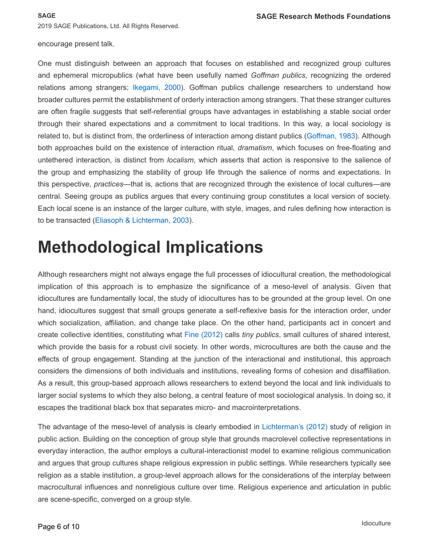### encourage present talk.

One must distinguish between an approach that focuses on established and recognized group cultures and ephemeral micropublics (what have been usefully named *Goffman publics*, recognizing the ordered relations among strangers; [Ikegami, 2000](#page-8-9)). Goffman publics challenge researchers to understand how broader cultures permit the establishment of orderly interaction among strangers. That these stranger cultures are often fragile suggests that self-referential groups have advantages in establishing a stable social order through their shared expectations and a commitment to local traditions. In this way, a local sociology is related to, but is distinct from, the orderliness of interaction among distant publics ([Goffman, 1983](#page-8-10)). Although both approaches build on the existence of interaction ritual, *dramatism*, which focuses on free-floating and untethered interaction, is distinct from *localism*, which asserts that action is responsive to the salience of the group and emphasizing the stability of group life through the salience of norms and expectations. In this perspective, *practices*—that is, actions that are recognized through the existence of local cultures—are central. Seeing groups as publics argues that every continuing group constitutes a local version of society. Each local scene is an instance of the larger culture, with style, images, and rules defining how interaction is to be transacted ([Eliasoph & Lichterman, 2003](#page-6-0)).

## **Methodological Implications**

Although researchers might not always engage the full processes of idiocultural creation, the methodological implication of this approach is to emphasize the significance of a meso-level of analysis. Given that idiocultures are fundamentally local, the study of idiocultures has to be grounded at the group level. On one hand, idiocultures suggest that small groups generate a self-reflexive basis for the interaction order, under which socialization, affiliation, and change take place. On the other hand, participants act in concert and create collective identities, constituting what [Fine \(2012\)](#page-7-1) calls *tiny publics*, small cultures of shared interest, which provide the basis for a robust civil society. In other words, microcultures are both the cause and the effects of group engagement. Standing at the junction of the interactional and institutional, this approach considers the dimensions of both individuals and institutions, revealing forms of cohesion and disaffiliation. As a result, this group-based approach allows researchers to extend beyond the local and link individuals to larger social systems to which they also belong, a central feature of most sociological analysis. In doing so, it escapes the traditional black box that separates micro- and macrointerpretations.

The advantage of the meso-level of analysis is clearly embodied in [Lichterman's \(2012\)](#page-8-11) study of religion in public action. Building on the conception of group style that grounds macrolevel collective representations in everyday interaction, the author employs a cultural-interactionist model to examine religious communication and argues that group cultures shape religious expression in public settings. While researchers typically see religion as a stable institution, a group-level approach allows for the considerations of the interplay between macrocultural influences and nonreligious culture over time. Religious experience and articulation in public are scene-specific, converged on a group style.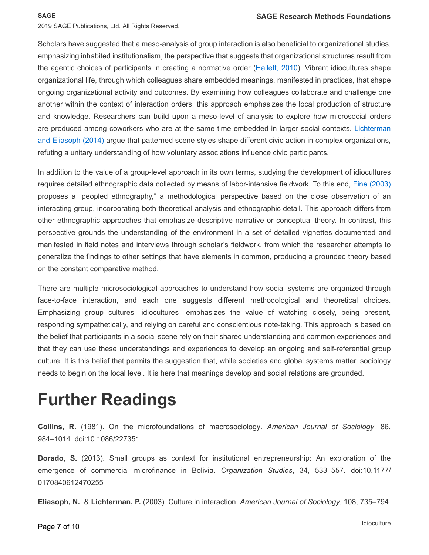#### **SAGE**

2019 SAGE Publications, Ltd. All Rights Reserved.

Scholars have suggested that a meso-analysis of group interaction is also beneficial to organizational studies, emphasizing inhabited institutionalism, the perspective that suggests that organizational structures result from the agentic choices of participants in creating a normative order ([Hallett, 2010](#page-8-12)). Vibrant idiocultures shape organizational life, through which colleagues share embedded meanings, manifested in practices, that shape ongoing organizational activity and outcomes. By examining how colleagues collaborate and challenge one another within the context of interaction orders, this approach emphasizes the local production of structure and knowledge. Researchers can build upon a meso-level of analysis to explore how microsocial orders are produced among coworkers who are at the same time embedded in larger social contexts. [Lichterman](#page-8-4)  [and Eliasoph \(2014\)](#page-8-4) argue that patterned scene styles shape different civic action in complex organizations, refuting a unitary understanding of how voluntary associations influence civic participants.

In addition to the value of a group-level approach in its own terms, studying the development of idiocultures requires detailed ethnographic data collected by means of labor-intensive fieldwork. To this end, [Fine \(2003\)](#page-7-7)  proposes a "peopled ethnography," a methodological perspective based on the close observation of an interacting group, incorporating both theoretical analysis and ethnographic detail. This approach differs from other ethnographic approaches that emphasize descriptive narrative or conceptual theory. In contrast, this perspective grounds the understanding of the environment in a set of detailed vignettes documented and manifested in field notes and interviews through scholar's fieldwork, from which the researcher attempts to generalize the findings to other settings that have elements in common, producing a grounded theory based on the constant comparative method.

There are multiple microsociological approaches to understand how social systems are organized through face-to-face interaction, and each one suggests different methodological and theoretical choices. Emphasizing group cultures—idiocultures—emphasizes the value of watching closely, being present, responding sympathetically, and relying on careful and conscientious note-taking. This approach is based on the belief that participants in a social scene rely on their shared understanding and common experiences and that they can use these understandings and experiences to develop an ongoing and self-referential group culture. It is this belief that permits the suggestion that, while societies and global systems matter, sociology needs to begin on the local level. It is here that meanings develop and social relations are grounded.

### **Further Readings**

**Collins, R.** (1981). On the microfoundations of macrosociology. *American Journal of Sociology*, 86, 984–1014. doi:10.1086/227351

**Dorado, S.** (2013). Small groups as context for institutional entrepreneurship: An exploration of the emergence of commercial microfinance in Bolivia. *Organization Studies*, 34, 533–557. doi:10.1177/ 0170840612470255

<span id="page-6-0"></span>**Eliasoph, N.**, & **Lichterman, P.** (2003). Culture in interaction. *American Journal of Sociology*, 108, 735–794.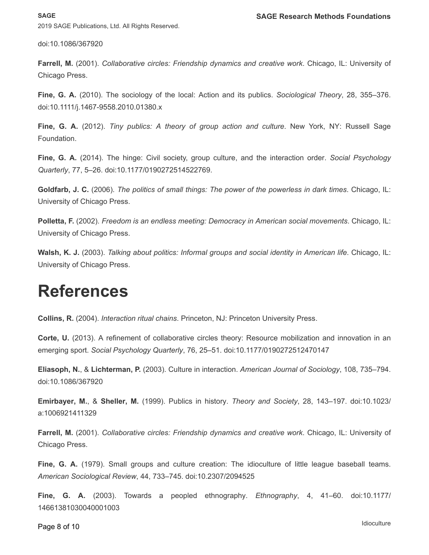doi:10.1086/367920

<span id="page-7-2"></span>**Farrell, M.** (2001). *Collaborative circles: Friendship dynamics and creative work*. Chicago, IL: University of Chicago Press.

**Fine, G. A.** (2010). The sociology of the local: Action and its publics. *Sociological Theory*, 28, 355–376. doi:10.1111/j.1467-9558.2010.01380.x

<span id="page-7-1"></span>**Fine, G. A.** (2012). *Tiny publics: A theory of group action and culture*. New York, NY: Russell Sage Foundation.

**Fine, G. A.** (2014). The hinge: Civil society, group culture, and the interaction order. *Social Psychology Quarterly*, 77, 5–26. doi:10.1177/0190272514522769.

<span id="page-7-6"></span>**Goldfarb, J. C.** (2006). *The politics of small things: The power of the powerless in dark times*. Chicago, IL: University of Chicago Press.

<span id="page-7-4"></span>**Polletta, F.** (2002). *Freedom is an endless meeting: Democracy in American social movements*. Chicago, IL: University of Chicago Press.

**Walsh, K. J.** (2003). *Talking about politics: Informal groups and social identity in American life*. Chicago, IL: University of Chicago Press.

### **References**

<span id="page-7-5"></span>**Collins, R.** (2004). *Interaction ritual chains*. Princeton, NJ: Princeton University Press.

<span id="page-7-3"></span>**Corte, U.** (2013). A refinement of collaborative circles theory: Resource mobilization and innovation in an emerging sport. *Social Psychology Quarterly*, 76, 25–51. doi:10.1177/0190272512470147

**Eliasoph, N.**, & **Lichterman, P.** (2003). Culture in interaction. *American Journal of Sociology*, 108, 735–794. doi:10.1086/367920

**Emirbayer, M.**, & **Sheller, M.** (1999). Publics in history. *Theory and Society*, 28, 143–197. doi:10.1023/ a:1006921411329

**Farrell, M.** (2001). *Collaborative circles: Friendship dynamics and creative work*. Chicago, IL: University of Chicago Press.

<span id="page-7-0"></span>**Fine, G. A.** (1979). Small groups and culture creation: The idioculture of little league baseball teams. *American Sociological Review*, 44, 733–745. doi:10.2307/2094525

<span id="page-7-7"></span>**Fine, G. A.** (2003). Towards a peopled ethnography. *Ethnography*, 4, 41–60. doi:10.1177/ 14661381030040001003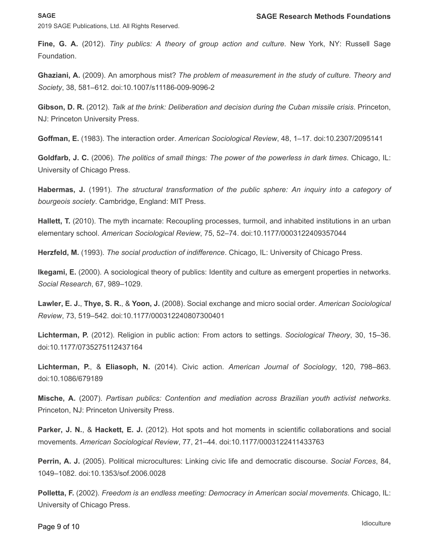#### **SAGE**

2019 SAGE Publications, Ltd. All Rights Reserved.

**Fine, G. A.** (2012). *Tiny publics: A theory of group action and culture*. New York, NY: Russell Sage Foundation.

<span id="page-8-0"></span>**Ghaziani, A.** (2009). An amorphous mist? *The problem of measurement in the study of culture. Theory and Society*, 38, 581–612. doi:10.1007/s11186-009-9096-2

<span id="page-8-1"></span>**Gibson, D. R.** (2012). *Talk at the brink: Deliberation and decision during the Cuban missile crisis*. Princeton, NJ: Princeton University Press.

<span id="page-8-10"></span>**Goffman, E.** (1983). The interaction order. *American Sociological Review*, 48, 1–17. doi:10.2307/2095141

**Goldfarb, J. C.** (2006). *The politics of small things: The power of the powerless in dark times*. Chicago, IL: University of Chicago Press.

<span id="page-8-8"></span>**Habermas, J.** (1991). *The structural transformation of the public sphere: An inquiry into a category of bourgeois society*. Cambridge, England: MIT Press.

<span id="page-8-12"></span>**Hallett, T.** (2010). The myth incarnate: Recoupling processes, turmoil, and inhabited institutions in an urban elementary school. *American Sociological Review*, 75, 52–74. doi:10.1177/0003122409357044

<span id="page-8-2"></span>**Herzfeld, M.** (1993). *The social production of indifference*. Chicago, IL: University of Chicago Press.

<span id="page-8-9"></span>**Ikegami, E.** (2000). A sociological theory of publics: Identity and culture as emergent properties in networks. *Social Research*, 67, 989–1029.

<span id="page-8-6"></span>**Lawler, E. J.**, **Thye, S. R.**, & **Yoon, J.** (2008). Social exchange and micro social order. *American Sociological Review*, 73, 519–542. doi:10.1177/000312240807300401

<span id="page-8-11"></span>**Lichterman, P.** (2012). Religion in public action: From actors to settings. *Sociological Theory*, 30, 15–36. doi:10.1177/0735275112437164

<span id="page-8-4"></span>**Lichterman, P.**, & **Eliasoph, N.** (2014). Civic action. *American Journal of Sociology*, 120, 798–863. doi:10.1086/679189

<span id="page-8-7"></span>**Mische, A.** (2007). *Partisan publics: Contention and mediation across Brazilian youth activist networks*. Princeton, NJ: Princeton University Press.

<span id="page-8-3"></span>**Parker, J. N.**, & **Hackett, E. J.** (2012). Hot spots and hot moments in scientific collaborations and social movements. *American Sociological Review*, 77, 21–44. doi:10.1177/0003122411433763

<span id="page-8-5"></span>**Perrin, A. J.** (2005). Political microcultures: Linking civic life and democratic discourse. *Social Forces*, 84, 1049–1082. doi:10.1353/sof.2006.0028

**Polletta, F.** (2002). *Freedom is an endless meeting: Democracy in American social movements*. Chicago, IL: University of Chicago Press.